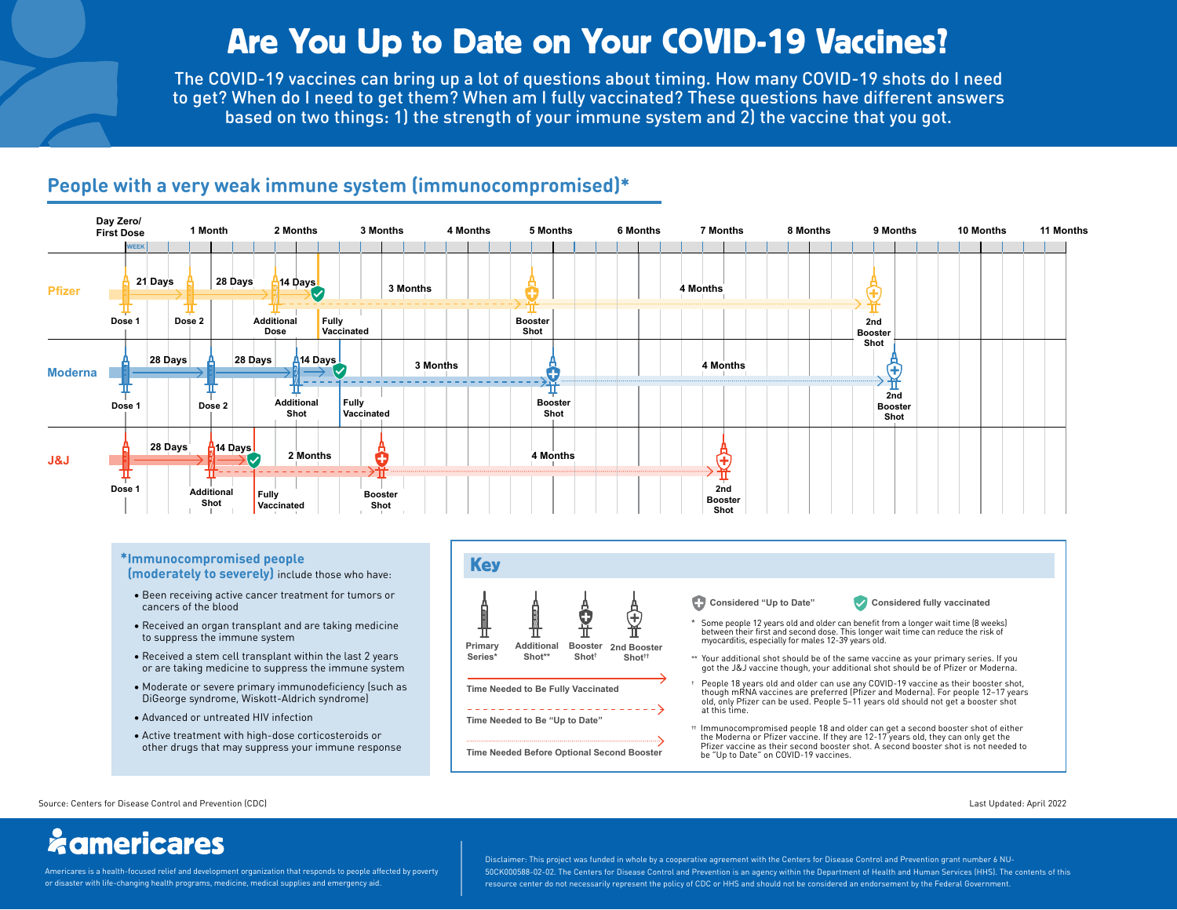# Are You Up to Date on Your COVID-19 Vaccines?

The COVID-19 vaccines can bring up a lot of questions about timing. How many COVID-19 shots do I need to get? When do I need to get them? When am I fully vaccinated? These questions have different answers based on two things: 1) the strength of your immune system and 2) the vaccine that you got.

### **People with a very weak immune system (immunocompromised)\***



#### **\*Immunocompromised people (moderately to severely)** include those who have:

- Been receiving active cancer treatment for tumors or cancers of the blood
- Received an organ transplant and are taking medicine to suppress the immune system
- Received a stem cell transplant within the last 2 years or are taking medicine to suppress the immune system
- Moderate or severe primary immunodeficiency (such as DiGeorge syndrome, Wiskott-Aldrich syndrome)
- Advanced or untreated HIV infection
- Active treatment with high-dose corticosteroids or other drugs that may suppress your immune response



Source: Centers for Disease Control and Prevention (CDC) Last Updated: April 2022

## **americares**

Americares is a health-focused relief and development organization that responds to people affected by poverty or disaster with life-changing health programs, medicine, medical supplies and emergency aid.

Disclaimer: This project was funded in whole by a cooperative agreement with the Centers for Disease Control and Prevention grant number 6 NU-50CK000588-02-02. The Centers for Disease Control and Prevention is an agency within the Department of Health and Human Services (HHS). The contents of this resource center do not necessarily represent the policy of CDC or HHS and should not be considered an endorsement by the Federal Government.